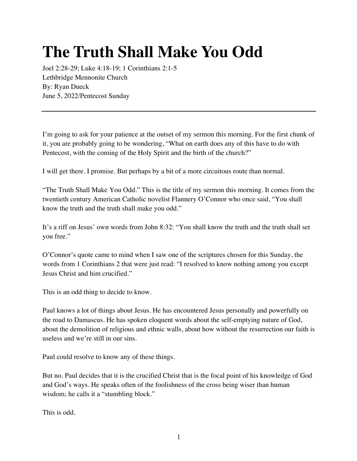## **The Truth Shall Make You Odd**

Joel 2:28-29; Luke 4:18-19; 1 Corinthians 2:1-5 Lethbridge Mennonite Church By: Ryan Dueck June 5, 2022/Pentecost Sunday

I'm going to ask for your patience at the outset of my sermon this morning. For the first chunk of it, you are probably going to be wondering, "What on earth does any of this have to do with Pentecost, with the coming of the Holy Spirit and the birth of the church?"

I will get there. I promise. But perhaps by a bit of a more circuitous route than normal.

"The Truth Shall Make You Odd." This is the title of my sermon this morning. It comes from the twentieth century American Catholic novelist Flannery O'Connor who once said, "You shall know the truth and the truth shall make you odd."

It's a riff on Jesus' own words from John 8:32: "You shall know the truth and the truth shall set you free."

O'Connor's quote came to mind when I saw one of the scriptures chosen for this Sunday, the words from 1 Corinthians 2 that were just read: "I resolved to know nothing among you except Jesus Christ and him crucified."

This is an odd thing to decide to know.

Paul knows a lot of things about Jesus. He has encountered Jesus personally and powerfully on the road to Damascus. He has spoken eloquent words about the self-emptying nature of God, about the demolition of religious and ethnic walls, about how without the resurrection our faith is useless and we're still in our sins.

Paul could resolve to know any of these things.

But no. Paul decides that it is the crucified Christ that is the focal point of his knowledge of God and God's ways. He speaks often of the foolishness of the cross being wiser than human wisdom; he calls it a "stumbling block."

This is odd.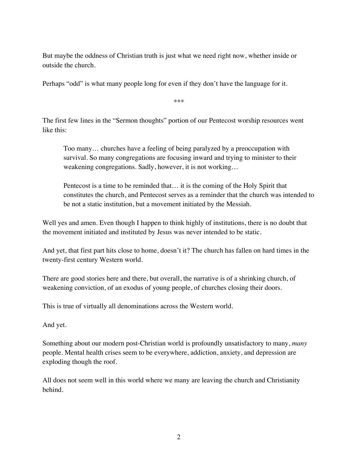But maybe the oddness of Christian truth is just what we need right now, whether inside or outside the church.

Perhaps "odd" is what many people long for even if they don't have the language for it.

\*\*\*

The first few lines in the "Sermon thoughts" portion of our Pentecost worship resources went like this:

Too many… churches have a feeling of being paralyzed by a preoccupation with survival. So many congregations are focusing inward and trying to minister to their weakening congregations. Sadly, however, it is not working…

Pentecost is a time to be reminded that… it is the coming of the Holy Spirit that constitutes the church, and Pentecost serves as a reminder that the church was intended to be not a static institution, but a movement initiated by the Messiah.

Well yes and amen. Even though I happen to think highly of institutions, there is no doubt that the movement initiated and instituted by Jesus was never intended to be static.

And yet, that first part hits close to home, doesn't it? The church has fallen on hard times in the twenty-first century Western world.

There are good stories here and there, but overall, the narrative is of a shrinking church, of weakening conviction, of an exodus of young people, of churches closing their doors.

This is true of virtually all denominations across the Western world.

And yet.

Something about our modern post-Christian world is profoundly unsatisfactory to many, *many*  people. Mental health crises seem to be everywhere, addiction, anxiety, and depression are exploding though the roof.

All does not seem well in this world where we many are leaving the church and Christianity behind.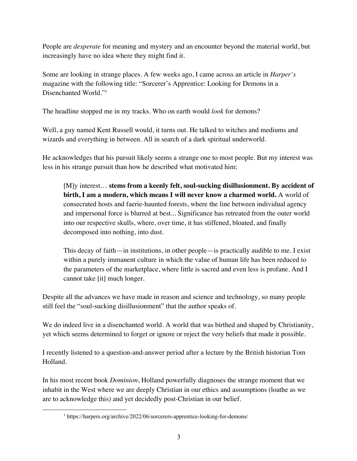People are *desperate* for meaning and mystery and an encounter beyond the material world, but increasingly have no idea where they might find it.

Some are looking in strange places. A few weeks ago, I came across an article in *Harper's* magazine with the following title: "Sorcerer's Apprentice: Looking for Demons in a Disenchanted World."1

The headline stopped me in my tracks. Who on earth would *look* for demons?

Well, a guy named Kent Russell would, it turns out. He talked to witches and mediums and wizards and everything in between. All in search of a dark spiritual underworld.

He acknowledges that his pursuit likely seems a strange one to most people. But my interest was less in his strange pursuit than how he described what motivated him:

[M]y interest… **stems from a keenly felt, soul-sucking disillusionment. By accident of birth, I am a modern, which means I will never know a charmed world.** A world of consecrated hosts and faerie-haunted forests, where the line between individual agency and impersonal force is blurred at best... Significance has retreated from the outer world into our respective skulls, where, over time, it has stiffened, bloated, and finally decomposed into nothing, into dust.

This decay of faith—in institutions, in other people—is practically audible to me. I exist within a purely immanent culture in which the value of human life has been reduced to the parameters of the marketplace, where little is sacred and even less is profane. And I cannot take [it] much longer.

Despite all the advances we have made in reason and science and technology, so many people still feel the "soul-sucking disillusionment" that the author speaks of.

We do indeed live in a disenchanted world. A world that was birthed and shaped by Christianity, yet which seems determined to forget or ignore or reject the very beliefs that made it possible.

I recently listened to a question-and-answer period after a lecture by the British historian Tom Holland.

In his most recent book *Dominion*, Holland powerfully diagnoses the strange moment that we inhabit in the West where we are deeply Christian in our ethics and assumptions (loathe as we are to acknowledge this) and yet decidedly post-Christian in our belief.

<sup>1</sup> https://harpers.org/archive/2022/06/sorcerers-apprentice-looking-for-demons/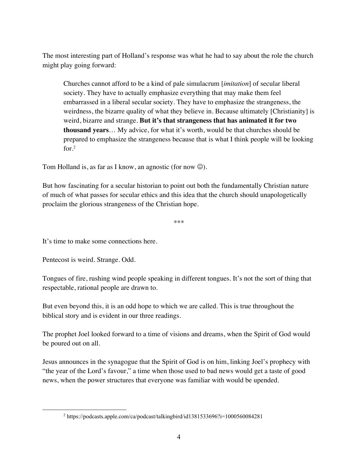The most interesting part of Holland's response was what he had to say about the role the church might play going forward:

Churches cannot afford to be a kind of pale simulacrum [*imitation*] of secular liberal society. They have to actually emphasize everything that may make them feel embarrassed in a liberal secular society. They have to emphasize the strangeness, the weirdness, the bizarre quality of what they believe in. Because ultimately [Christianity] is weird, bizarre and strange. **But it's that strangeness that has animated it for two thousand years**… My advice, for what it's worth, would be that churches should be prepared to emphasize the strangeness because that is what I think people will be looking for.2

Tom Holland is, as far as I know, an agnostic (for now  $\odot$ ).

But how fascinating for a secular historian to point out both the fundamentally Christian nature of much of what passes for secular ethics and this idea that the church should unapologetically proclaim the glorious strangeness of the Christian hope.

\*\*\*

It's time to make some connections here.

Pentecost is weird. Strange. Odd.

Tongues of fire, rushing wind people speaking in different tongues. It's not the sort of thing that respectable, rational people are drawn to.

But even beyond this, it is an odd hope to which we are called. This is true throughout the biblical story and is evident in our three readings.

The prophet Joel looked forward to a time of visions and dreams, when the Spirit of God would be poured out on all.

Jesus announces in the synagogue that the Spirit of God is on him, linking Joel's prophecy with "the year of the Lord's favour," a time when those used to bad news would get a taste of good news, when the power structures that everyone was familiar with would be upended.

<sup>2</sup> https://podcasts.apple.com/ca/podcast/talkingbird/id1381533696?i=1000560084281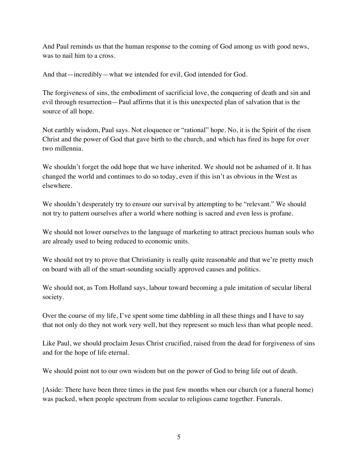And Paul reminds us that the human response to the coming of God among us with good news, was to nail him to a cross.

And that—incredibly—what we intended for evil, God intended for God.

The forgiveness of sins, the embodiment of sacrificial love, the conquering of death and sin and evil through resurrection—Paul affirms that it is this unexpected plan of salvation that is the source of all hope.

Not earthly wisdom, Paul says. Not eloquence or "rational" hope. No, it is the Spirit of the risen Christ and the power of God that gave birth to the church, and which has fired its hope for over two millennia.

We shouldn't forget the odd hope that we have inherited. We should not be ashamed of it. It has changed the world and continues to do so today, even if this isn't as obvious in the West as elsewhere.

We shouldn't desperately try to ensure our survival by attempting to be "relevant." We should not try to pattern ourselves after a world where nothing is sacred and even less is profane.

We should not lower ourselves to the language of marketing to attract precious human souls who are already used to being reduced to economic units.

We should not try to prove that Christianity is really quite reasonable and that we're pretty much on board with all of the smart-sounding socially approved causes and politics.

We should not, as Tom Holland says, labour toward becoming a pale imitation of secular liberal society.

Over the course of my life, I've spent some time dabbling in all these things and I have to say that not only do they not work very well, but they represent so much less than what people need.

Like Paul, we should proclaim Jesus Christ crucified, raised from the dead for forgiveness of sins and for the hope of life eternal.

We should point not to our own wisdom but on the power of God to bring life out of death.

[Aside: There have been three times in the past few months when our church (or a funeral home) was packed, when people spectrum from secular to religious came together. Funerals.